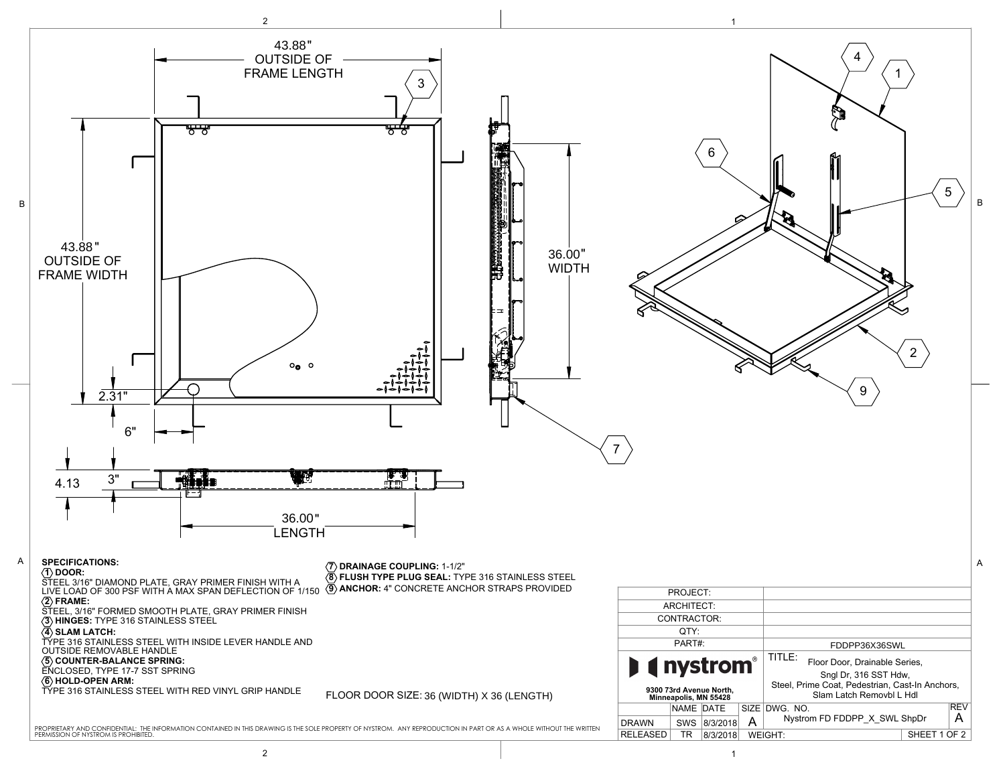

2 to the contract of the contract of  $\vert$  . The contract of the contract of the contract of the contract of the contract of the contract of the contract of the contract of the contract of the contract of the contract of t